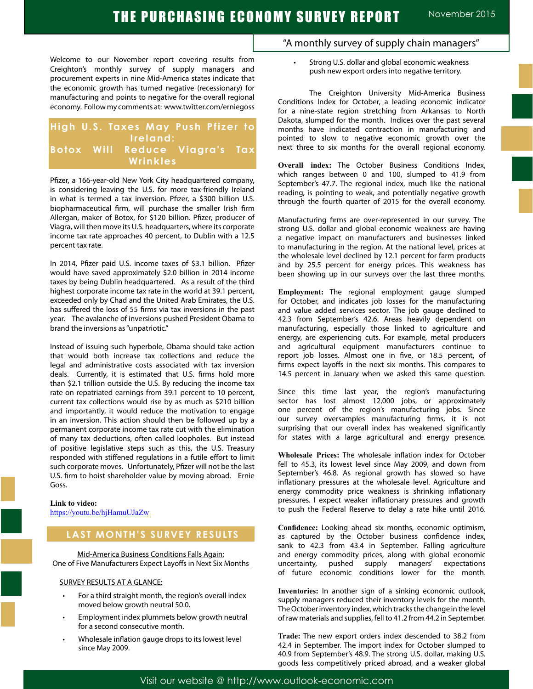## THE PURCHASING ECONOMY SURVEY REPORT November 2015

Welcome to our November report covering results from Creighton's monthly survey of supply managers and procurement experts in nine Mid-America states indicate that the economic growth has turned negative (recessionary) for manufacturing and points to negative for the overall regional economy. Follow my comments at: www.twitter.com/erniegoss

## **High U.S. Taxes May Push Pfizer to Ireland: Botox Will Reduce Viagra's Tax Wrinkles**

Pfizer, a 166-year-old New York City headquartered company, is considering leaving the U.S. for more tax-friendly Ireland in what is termed a tax inversion. Pfizer, a \$300 billion U.S. biopharmaceutical firm, will purchase the smaller Irish firm Allergan, maker of Botox, for \$120 billion. Pfizer, producer of Viagra, will then move its U.S. headquarters, where its corporate income tax rate approaches 40 percent, to Dublin with a 12.5 percent tax rate.

In 2014, Pfizer paid U.S. income taxes of \$3.1 billion. Pfizer would have saved approximately \$2.0 billion in 2014 income taxes by being Dublin headquartered. As a result of the third highest corporate income tax rate in the world at 39.1 percent, exceeded only by Chad and the United Arab Emirates, the U.S. has suffered the loss of 55 firms via tax inversions in the past year. The avalanche of inversions pushed President Obama to brand the inversions as "unpatriotic."

Instead of issuing such hyperbole, Obama should take action that would both increase tax collections and reduce the legal and administrative costs associated with tax inversion deals. Currently, it is estimated that U.S. firms hold more than \$2.1 trillion outside the U.S. By reducing the income tax rate on repatriated earnings from 39.1 percent to 10 percent, current tax collections would rise by as much as \$210 billion and importantly, it would reduce the motivation to engage in an inversion. This action should then be followed up by a permanent corporate income tax rate cut with the elimination of many tax deductions, often called loopholes. But instead of positive legislative steps such as this, the U.S. Treasury responded with stiffened regulations in a futile effort to limit such corporate moves. Unfortunately, Pfizer will not be the last U.S. firm to hoist shareholder value by moving abroad. Ernie Goss.

## **Link to video:**

https://youtu.be/hjHamuUJaZw

### **LAST MONTH'S SURVEY RESULTS**

Mid-America Business Conditions Falls Again: One of Five Manufacturers Expect Layoffs in Next Six Months

#### SURVEY RESULTS AT A GLANCE:

- For a third straight month, the region's overall index moved below growth neutral 50.0.
- Employment index plummets below growth neutral for a second consecutive month.
- Wholesale inflation gauge drops to its lowest level since May 2009.
- "A monthly survey of supply chain managers"
	- Strong U.S. dollar and global economic weakness push new export orders into negative territory.

The Creighton University Mid-America Business Conditions Index for October, a leading economic indicator for a nine-state region stretching from Arkansas to North Dakota, slumped for the month. Indices over the past several months have indicated contraction in manufacturing and pointed to slow to negative economic growth over the next three to six months for the overall regional economy.

**Overall index:** The October Business Conditions Index, which ranges between 0 and 100, slumped to 41.9 from September's 47.7. The regional index, much like the national reading, is pointing to weak, and potentially negative growth through the fourth quarter of 2015 for the overall economy.

Manufacturing firms are over-represented in our survey. The strong U.S. dollar and global economic weakness are having a negative impact on manufacturers and businesses linked to manufacturing in the region. At the national level, prices at the wholesale level declined by 12.1 percent for farm products and by 25.5 percent for energy prices. This weakness has been showing up in our surveys over the last three months.

**Employment:** The regional employment gauge slumped for October, and indicates job losses for the manufacturing and value added services sector. The job gauge declined to 42.3 from September's 42.6. Areas heavily dependent on manufacturing, especially those linked to agriculture and energy, are experiencing cuts. For example, metal producers and agricultural equipment manufacturers continue to report job losses. Almost one in five, or 18.5 percent, of firms expect layoffs in the next six months. This compares to 14.5 percent in January when we asked this same question.

Since this time last year, the region's manufacturing sector has lost almost 12,000 jobs, or approximately one percent of the region's manufacturing jobs. Since our survey oversamples manufacturing firms, it is not surprising that our overall index has weakened significantly for states with a large agricultural and energy presence.

**Wholesale Prices:** The wholesale inflation index for October fell to 45.3, its lowest level since May 2009, and down from September's 46.8. As regional growth has slowed so have inflationary pressures at the wholesale level. Agriculture and energy commodity price weakness is shrinking inflationary pressures. I expect weaker inflationary pressures and growth to push the Federal Reserve to delay a rate hike until 2016.

**Confidence:** Looking ahead six months, economic optimism, as captured by the October business confidence index, sank to 42.3 from 43.4 in September. Falling agriculture and energy commodity prices, along with global economic uncertainty, pushed supply managers' expectations of future economic conditions lower for the month.

**Inventories:** In another sign of a sinking economic outlook, supply managers reduced their inventory levels for the month. The October inventory index, which tracks the change in the level of raw materials and supplies, fell to 41.2 from 44.2 in September.

**Trade:** The new export orders index descended to 38.2 from 42.4 in September. The import index for October slumped to 40.9 from September's 48.9. The strong U.S. dollar, making U.S. goods less competitively priced abroad, and a weaker global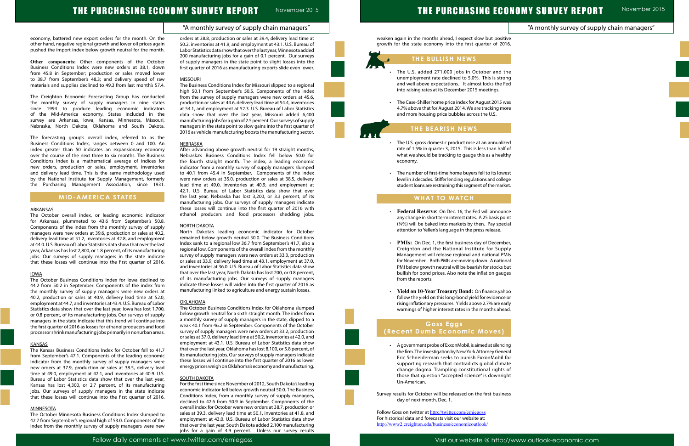# THE PURCHASING ECONOMY SURVEY REPORT

weaken again in the months ahead, I expect slow but positi growth for the state economy into the first quarter of 2016

#### "A monthly survey of supply chain managers"

November 2015

|                  | "A monthly survey of supply chain managers" |  |
|------------------|---------------------------------------------|--|
| ive<br>16.       |                                             |  |
|                  |                                             |  |
|                  |                                             |  |
| he<br>ng         |                                             |  |
| ed               |                                             |  |
| vas              |                                             |  |
| ore              |                                             |  |
|                  |                                             |  |
| ed               |                                             |  |
| for              |                                             |  |
| thy              |                                             |  |
| est              |                                             |  |
| ge:<br>œt.       |                                             |  |
|                  |                                             |  |
| ıce              |                                             |  |
| int<br>cial      |                                             |  |
|                  |                                             |  |
| er,<br>oly       |                                             |  |
| MIs<br>nal       |                                             |  |
| out<br>jes       |                                             |  |
|                  |                                             |  |
| 00<br>or!        |                                             |  |
| ırly<br>ad.      |                                             |  |
|                  |                                             |  |
|                  |                                             |  |
| ing              |                                             |  |
| eral!<br>for     |                                             |  |
| ate<br>$\circ f$ |                                             |  |
| jht              |                                             |  |
| ess              |                                             |  |
|                  |                                             |  |
|                  |                                             |  |

# THE PURCHASING ECONOMY SURVEY REPORT November 2015

economy, battered new export orders for the month. On the other hand, negative regional growth and lower oil prices again pushed the import index below growth neutral for the month.

**Other components:** Other components of the October Business Conditions Index were new orders at 38.1, down from 45.8 in September; production or sales moved lower to 38.7 from September's 48.3; and delivery speed of raw materials and supplies declined to 49.3 from last month's 57.4.

The Creighton Economic Forecasting Group has conducted the monthly survey of supply managers in nine states since 1994 to produce leading economic indicators of the Mid-America economy. States included in the survey are Arkansas, Iowa, Kansas, Minnesota, Missouri, Nebraska, North Dakota, Oklahoma and South Dakota.

The forecasting group's overall index, referred to as the Business Conditions Index, ranges between 0 and 100. An index greater than 50 indicates an expansionary economy over the course of the next three to six months. The Business Conditions Index is a mathematical average of indices for new orders, production or sales, employment, inventories and delivery lead time. This is the same methodology used by the National Institute for Supply Management, formerly the Purchasing Management Association, since 1931.

#### **MID-AMERICA STATES**

#### ARKANSAS

The October overall index, or leading economic indicator for Arkansas, plummeted to 43.6 from September's 50.8. Components of the index from the monthly survey of supply managers were new orders at 39.6, production or sales at 40.2, delivery lead time at 51.2, inventories at 42.8, and employment at 44.0. U.S. Bureau of Labor Statistics data show that over the last year, Arkansas has lost 2,800, or 1.8 percent, of its manufacturing jobs. Our surveys of supply managers in the state indicate that these losses will continue into the first quarter of 2016.

#### IOWA

The October Business Conditions Index for Iowa declined to 44.2 from 50.2 in September. Components of the index from the monthly survey of supply managers were new orders at 40.2, production or sales at 40.9, delivery lead time at 52.0, employment at 44.7, and inventories at 43.4. U.S. Bureau of Labor Statistics data show that over the last year, Iowa has lost 1,700, or 0.8 percent, of its manufacturing jobs. Our surveys of supply managers in the state indicate that this trend will continue into the first quarter of 2016 as losses for ethanol producers and food processor shrink manufacturing jobs primarily in nonurban areas.

#### **KANSAS**

The Kansas Business Conditions Index for October fell to 41.7 from September's 47.1. Components of the leading economic indicator from the monthly survey of supply managers were new orders at 37.9, production or sales at 38.5, delivery lead time at 49.0, employment at 42.1, and inventories at 40.9. U.S. Bureau of Labor Statistics data show that over the last year, Kansas has lost 4,300, or 2.7 percent, of its manufacturing jobs. Our surveys of supply managers in the state indicate that these losses will continue into the first quarter of 2016.

#### MINNESOTA

The October Minnesota Business Conditions Index slumped to 42.7 from September's regional high of 53.0. Components of the index from the monthly survey of supply managers were new orders at 38.8, production or sales at 39.4, delivery lead time at 50.2, inventories at 41.9, and employment at 43.1. U.S. Bureau of Labor Statistics data show that over the last year, Minnesota added 200 manufacturing jobs for a gain of 0.1 percent. Our surveys of supply managers in the state point to slight losses into the first quarter of 2016 as manufacturing exports slide even lower.

#### **MISSOURI**

- The U.S. added 271,000 jobs in October and the unemployment rate declined to 5.0%. This is stro and well above expectations. It almost locks the F into raising rates at its December 2015 meetings.
- The Case-Shiller home price index for August 2015 w 4.7% above that for August 2014. We are tracking mo and more housing price bubbles across the U.S.

The Business Conditions Index for Missouri slipped to a regional high 50.1 from September's 50.5. Components of the index from the survey of supply managers were new orders at 45.6, production or sales at 44.6, delivery lead time at 54.4, inventories at 54.1, and employment at 52.3. U.S. Bureau of Labor Statistics data show that over the last year, Missouri added 6,400 manufacturing jobs for a gain of 2.5 percent. Our surveys of supply managers in the state point to slow gains into the first quarter of 2016 as vehicle manufacturing boosts the manufacturing sector.

#### NEBRASKA

• A government probe of ExxonMobil, is aimed at silenci the firm. The investigation by New York Attorney Gene Eric Schneiderman seeks to punish ExxonMobil supporting research that contradicts global clima change dogma. Trampling constitutional rights those that question "accepted science" is downright Un-American.

Survey results for October will be released on the first busine day of next month, Dec. 1.

Follow Goss on twitter at http://twitter.com/erniegoss For historical data and forecasts visit our website at: http://www2.creighton.edu/business/economicoutlook/

After advancing above growth neutral for 19 straight months, Nebraska's Business Conditions Index fell below 50.0 for the fourth straight month. The index, a leading economic indicator from a monthly survey of supply managers slumped to 40.1 from 45.4 in September. Components of the index were new orders at 35.0, production or sales at 38.5, delivery lead time at 49.0, inventories at 40.9, and employment at 42.1. U.S. Bureau of Labor Statistics data show that over the last year, Nebraska has lost 3,200, or 3.3 percent, of its manufacturing jobs. Our surveys of supply managers indicate these losses will continue into the first quarter of 2016 with ethanol producers and food processors shedding jobs.

#### NORTH DAKOTA

North Dakota's leading economic indicator for October remained below growth neutral 50.0. The Business Conditions Index sank to a regional low 36.7 from September's 41.7, also a regional low. Components of the overall index from the monthly survey of supply managers were new orders at 33.3, production or sales at 33.9, delivery lead time at 43.1, employment at 37.0, and inventories at 36.0. U.S. Bureau of Labor Statistics data show that over the last year, North Dakota has lost 200, or 0.8 percent, of its manufacturing jobs. Our surveys of supply managers indicate these losses will widen into the first quarter of 2016 as manufacturing linked to agriculture and energy sustain losses.

#### **OKLAHOMA**

The October Business Conditions Index for Oklahoma slumped below growth neutral for a sixth straight month. The index from a monthly survey of supply managers in the state, dipped to a weak 40.1 from 46.2 in September. Components of the October survey of supply managers were new orders at 33.2, production or sales at 37.0, delivery lead time at 50.2, inventories at 42.0, and employment at 43.1. U.S. Bureau of Labor Statistics data show that over the last year, Oklahoma has lost 8,100, or 5.8 percent, of its manufacturing jobs. Our surveys of supply managers indicate these losses will continue into the first quarter of 2016 as lower energy prices weigh on Oklahoma's economy and manufacturing.

#### **SOUTH DAKOTA**

For the first time since November of 2012, South Dakota's leading economic indicator fell below growth neutral 50.0. The Business Conditions Index, from a monthly survey of supply managers, declined to 42.6 from 50.9 in September. Components of the overall index for October were new orders at 38.7, production or sales at 39.3, delivery lead time at 50.1, inventories at 41.8, and employment at 43.0. U.S. Bureau of Labor Statistics data show that over the last year, South Dakota added 2,100 manufacturing jobs for a gain of 4.9 percent. Unless our survey results

## **THE BULLISH NEWS**

## **THE BEARISH NEWS**

- The U.S. gross domestic product rose at an annualized rate of 1.5% in quarter 3, 2015. This is less than half what we should be tracking to gauge this as a healt economy.
- The number of first-time home buyers fell to its lowe level in 3 decades. Stiffer lending regulations and colle student loans are restraining this segment of the mark

## **WHAT TO WATCH**

L

Ĩ

- Federal Reserve: On Dec. 16, the Fed will announ any change in short term interest rates. A 25 basis point  $(14%)$  will be baked into markets by then. Pay spec attention to Yellen's language in the press release.
- PMIs: On Dec. 1, the first business day of Decemb Creighton and the National Institute for Supp Management will release regional and national PN for November. Both PMIs are moving down. A nation PMI below growth neutral will be bearish for stocks b bullish for bond prices. Also note the inflation gauge from the reports.
- Yield on 10-Year Treasury Bond: On finance.yah follow the yield on this long-bond yield for evidence rising inflationary pressures. Yields above 2.7% are ea warnings of higher interest rates in the months ahea

## **Goss Eggs (Recent Dumb Economic Moves)**